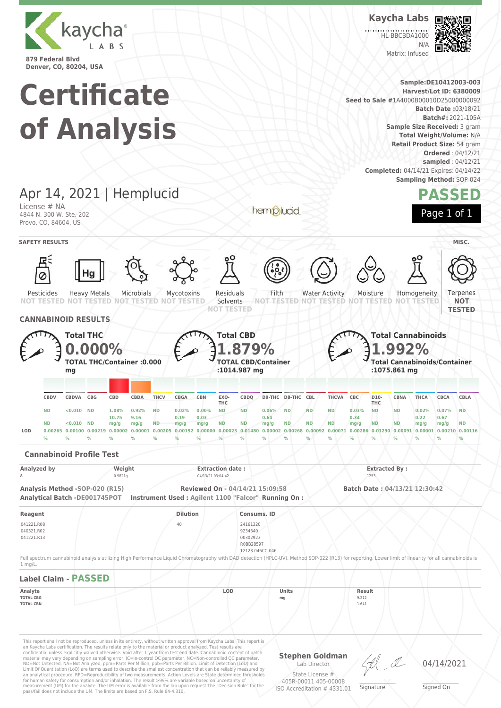

**Kaycha Labs**

HL-BBCBDA1000  $N/\Delta$ Matrix: Infused



**Denver, CO, 80204, USA Sample:DE10412003-003 Certificate Harvest/Lot ID: 6380009 Seed to Sale #**1A4000B00010D25000000092 **Batch Date :**03/18/21 **Batch#:** 2021-105A **of Analysis Sample Size Received:** 3 gram **Total Weight/Volume:** N/A **Retail Product Size:** 54 gram **Ordered** : 04/12/21 **sampled** : 04/12/21 **Completed:** 04/14/21 Expires: 04/14/22 **Sampling Method:** SOP-024 Apr 14, 2021 | Hemplucid **PASSED** License # NA hemplucid Page 1 of 1 4844 N. 300 W. Ste. 202 Provo, CO, 84604, US **SAFETY RESULTS** / **MISC.** 尽 Pesticides Heavy Metals Microbials Mycotoxins Residuals Filth Water Activity Moisture Homogeneity **Terpenes** Solvents **NOT NOT TESTED NOT TESTED NOT TESTED NOT TESTED NOT TESTED NOT TESTED NOT TESTED NOT TESTED NOT TESTED TESTED CANNABINOID RESULTS Total THC Total CBD Total Cannabinoids 0.000% 1.879% 1.992% TOTAL THC/Container :0.000 TOTAL CBD/Container Total Cannabinoids/Container :1014.987 mg :1075.861 mg mg CBDV CBDVA CBG CBD CBDA THCV CBGA CBN EXO-CBDQ D9-THC D8-THC CBL THCVA CBC D10- CBNA THCA CBCA CBLA THC THC** ND <0.010 ND 1.08% 0.92% ND 0.02% 0.00% ND ND 0.06% ND ND ND 0.03% ND ND 0.02% 0.07% ND **10.75 9.16 0.19 0.03 0.64 0.34 0.22 0.67 mg/g ND ND ND <0.010 ND mg/g ND mg/g ND ND ND mg/g ND ND mg/g ND mg/g mg/g mg/g** LOD 0.00265 0.00100 0.00219 0.00002 0.00001 0.00205 0.00000 0.00000 0.00023 0.01480 0.00002 0.00080 0.00091 0.00286 0.01290 0.00091 0.00001 0.00216 0.0116 **% % % % % % % % % % % % % % % % % % % % Cannabinoid Profile Test Analyzed by Weight Extraction date : Extracted By : 8** 0.9821g 04/13/21 03:04:42 1253 **Analysis Method -SOP-020 (R15) Reviewed On - 04/14/21 15:09:58 Batch Date : 04/13/21 12:30:42 Analytical Batch -DE001745POT Instrument Used : Agilent 1100 "Falcor" Running On : Reagent Dilution Consums. ID** 041221.R08 40 24161320 040321.R02 9234640 041221.R13 00302923 R0BB28597 12123-046CC-046 Full spectrum cannabinoid analysis utilizing High Performance Liquid Chromatography with DAD detection (HPLC-UV). Method SOP-022 (R13) for reporting. Lower limit of linearity for all cannabinoids is 1 mg/L. **Label Claim - PASSED Analyte LOD Units Result TOTAL CBG mg** 9.212 **TOTAL CBN** 1.641 This report shall not be reproduced, unless in its entirety, without written approval from Kaycha Labs. This report is an Kaycha Labs certification. The results relate only to the material or product analyzed. Test results are<br>confidential unless explicitly waived otherwise. Void after 1 year from test end date. Cannabinoid content of bat **Stephen Goldman**

Limit Of Quantitation (LoQ) are terms used to describe the smallest concentration that can be reliably measured by an analytical procedure. RPD=Reproducibility of two measurements. Action Levels are State determined thresholds for human safety for consumption and/or inhalation. The result >99% are variable based on uncertainty of measurement (UM) for the analyte. The UM error is available from the lab upon request.The "Decision Rule" for the pass/fail does not include the UM. The limits are based on F.S. Rule 64-4.310.

Lab Director State License # 405R-00011 405-00008

ISO Accreditation # 4331.01

\_\_\_\_\_\_\_\_\_\_\_\_\_\_\_\_\_\_\_ Signature

04/14/2021

\_\_\_\_\_\_\_\_\_\_\_\_\_\_\_\_\_\_\_ Signed On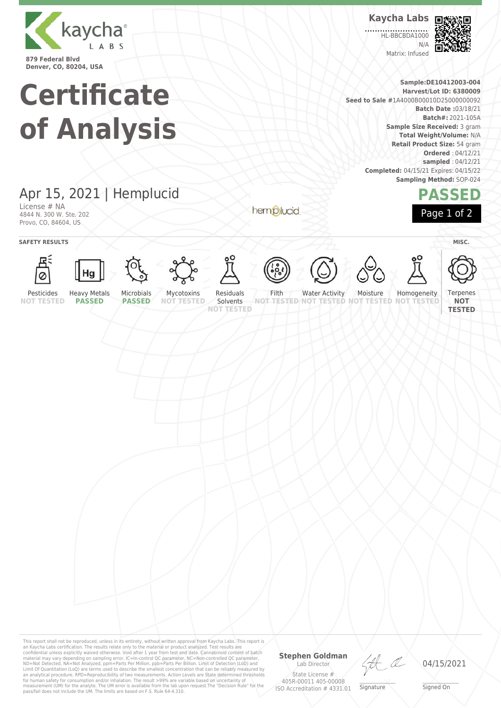

**Kaycha Labs**

**HL-BBCBDA1000** N/A Matrix: Infused



**Sample:DE10412003-004 Harvest/Lot ID: 6380009 Seed to Sale #**1A4000B00010D25000000092 **Batch Date :**03/18/21 **Batch#:** 2021-105A **Sample Size Received:** 3 gram **Total Weight/Volume:** N/A **Retail Product Size:** 54 gram **Ordered** : 04/12/21 **sampled** : 04/12/21 **Completed:** 04/15/21 Expires: 04/15/22 **Sampling Method:** SOP-024

## **PASSED**

Apr 15, 2021 | Hemplucid

**Certificate**

**of Analysis**

License # NA 4844 N. 300 W. Ste. 202 Provo, CO, 84604, US

hemplucid



**SAFETY RESULTS** / **MISC.** 































Moisture

**Terpenes NOT TESTED**

Pesticides **NOT TESTED** Heavy Metals **PASSED** Microbials

**PASSED**

Mycotoxins **NOT TESTED** Residuals Solvents

**NOT TESTED**

Filth **NOT TESTED NOT TESTED NOT TESTED NOT TESTED** Water Activity



This report shall not be reproduced, unless in its entirety, without written approval from Kaycha Labs. This report is<br>an Kaycha Labs certification. The results relate only to the materal or product analyzed. Test results

### **Stephen Goldman**

Lab Director State License # 405R-00011 405-00008 ISO Accreditation # 4331.01

HA

04/15/2021

\_\_\_\_\_\_\_\_\_\_\_\_\_\_\_\_\_\_\_ Signed On